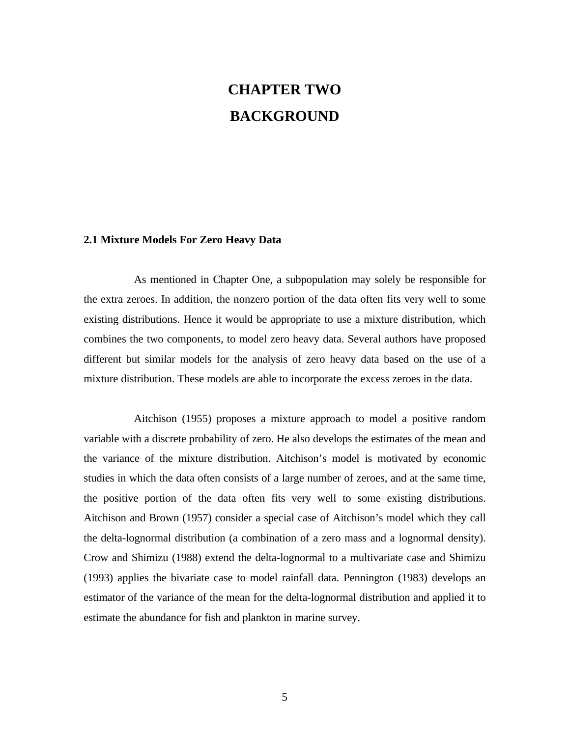# **CHAPTER TWO BACKGROUND**

### **2.1 Mixture Models For Zero Heavy Data**

As mentioned in Chapter One, a subpopulation may solely be responsible for the extra zeroes. In addition, the nonzero portion of the data often fits very well to some existing distributions. Hence it would be appropriate to use a mixture distribution, which combines the two components, to model zero heavy data. Several authors have proposed different but similar models for the analysis of zero heavy data based on the use of a mixture distribution. These models are able to incorporate the excess zeroes in the data.

Aitchison (1955) proposes a mixture approach to model a positive random variable with a discrete probability of zero. He also develops the estimates of the mean and the variance of the mixture distribution. Aitchison's model is motivated by economic studies in which the data often consists of a large number of zeroes, and at the same time, the positive portion of the data often fits very well to some existing distributions. Aitchison and Brown (1957) consider a special case of Aitchison's model which they call the delta-lognormal distribution (a combination of a zero mass and a lognormal density). Crow and Shimizu (1988) extend the delta-lognormal to a multivariate case and Shimizu (1993) applies the bivariate case to model rainfall data. Pennington (1983) develops an estimator of the variance of the mean for the delta-lognormal distribution and applied it to estimate the abundance for fish and plankton in marine survey.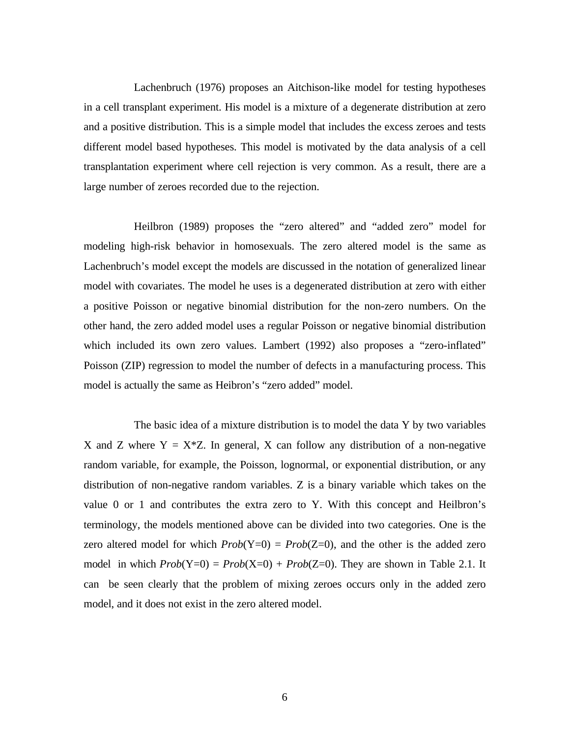Lachenbruch (1976) proposes an Aitchison-like model for testing hypotheses in a cell transplant experiment. His model is a mixture of a degenerate distribution at zero and a positive distribution. This is a simple model that includes the excess zeroes and tests different model based hypotheses. This model is motivated by the data analysis of a cell transplantation experiment where cell rejection is very common. As a result, there are a large number of zeroes recorded due to the rejection.

Heilbron (1989) proposes the "zero altered" and "added zero" model for modeling high-risk behavior in homosexuals. The zero altered model is the same as Lachenbruch's model except the models are discussed in the notation of generalized linear model with covariates. The model he uses is a degenerated distribution at zero with either a positive Poisson or negative binomial distribution for the non-zero numbers. On the other hand, the zero added model uses a regular Poisson or negative binomial distribution which included its own zero values. Lambert (1992) also proposes a "zero-inflated" Poisson (ZIP) regression to model the number of defects in a manufacturing process. This model is actually the same as Heibron's "zero added" model.

The basic idea of a mixture distribution is to model the data Y by two variables X and Z where  $Y = X^*Z$ . In general, X can follow any distribution of a non-negative random variable, for example, the Poisson, lognormal, or exponential distribution, or any distribution of non-negative random variables. Z is a binary variable which takes on the value 0 or 1 and contributes the extra zero to Y. With this concept and Heilbron's terminology, the models mentioned above can be divided into two categories. One is the zero altered model for which  $Prob(Y=0) = Prob(Z=0)$ , and the other is the added zero model in which  $Prob(Y=0) = Prob(X=0) + Prob(Z=0)$ . They are shown in Table 2.1. It can be seen clearly that the problem of mixing zeroes occurs only in the added zero model, and it does not exist in the zero altered model.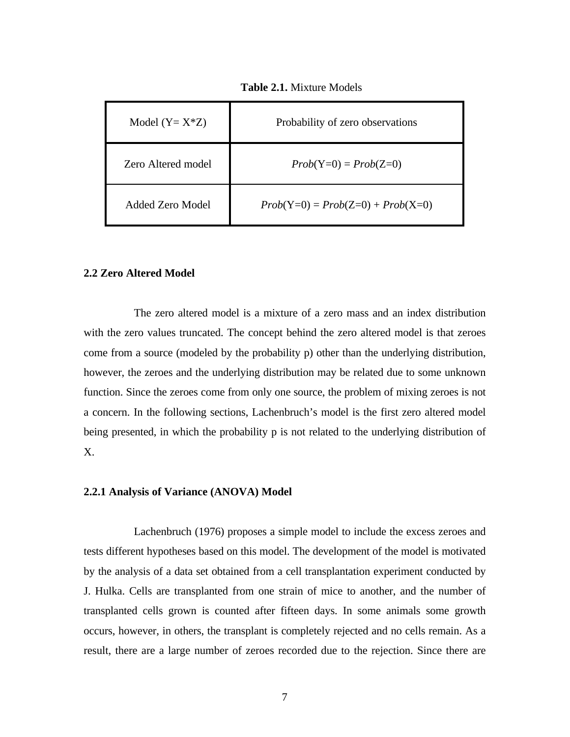| Model $(Y = X^*Z)$ | Probability of zero observations    |
|--------------------|-------------------------------------|
| Zero Altered model | $Prob(Y=0) = Prob(Z=0)$             |
| Added Zero Model   | $Prob(Y=0) = Prob(Z=0) + Prob(X=0)$ |

**Table 2.1.** Mixture Models

## **2.2 Zero Altered Model**

The zero altered model is a mixture of a zero mass and an index distribution with the zero values truncated. The concept behind the zero altered model is that zeroes come from a source (modeled by the probability p) other than the underlying distribution, however, the zeroes and the underlying distribution may be related due to some unknown function. Since the zeroes come from only one source, the problem of mixing zeroes is not a concern. In the following sections, Lachenbruch's model is the first zero altered model being presented, in which the probability p is not related to the underlying distribution of X.

#### **2.2.1 Analysis of Variance (ANOVA) Model**

Lachenbruch (1976) proposes a simple model to include the excess zeroes and tests different hypotheses based on this model. The development of the model is motivated by the analysis of a data set obtained from a cell transplantation experiment conducted by J. Hulka. Cells are transplanted from one strain of mice to another, and the number of transplanted cells grown is counted after fifteen days. In some animals some growth occurs, however, in others, the transplant is completely rejected and no cells remain. As a result, there are a large number of zeroes recorded due to the rejection. Since there are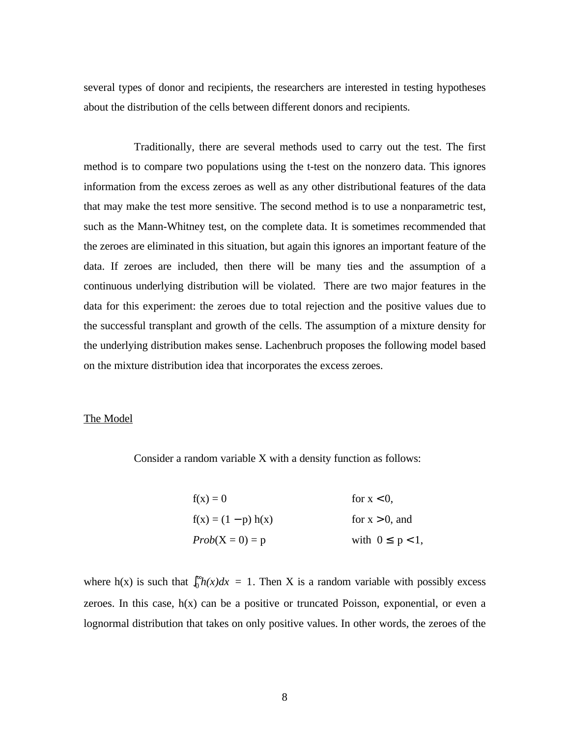several types of donor and recipients, the researchers are interested in testing hypotheses about the distribution of the cells between different donors and recipients.

Traditionally, there are several methods used to carry out the test. The first method is to compare two populations using the t-test on the nonzero data. This ignores information from the excess zeroes as well as any other distributional features of the data that may make the test more sensitive. The second method is to use a nonparametric test, such as the Mann-Whitney test, on the complete data. It is sometimes recommended that the zeroes are eliminated in this situation, but again this ignores an important feature of the data. If zeroes are included, then there will be many ties and the assumption of a continuous underlying distribution will be violated. There are two major features in the data for this experiment: the zeroes due to total rejection and the positive values due to the successful transplant and growth of the cells. The assumption of a mixture density for the underlying distribution makes sense. Lachenbruch proposes the following model based on the mixture distribution idea that incorporates the excess zeroes.

#### The Model

Consider a random variable X with a density function as follows:

| $f(x) = 0$            | for $x < 0$ ,        |
|-----------------------|----------------------|
| $f(x) = (1 - p) h(x)$ | for $x > 0$ , and    |
| $Prob(X = 0) = p$     | with $0 \le p < 1$ , |

where h(x) is such that  $\int_0^{\infty} h(x)dx = 1$ . Then X is a random variable with possibly excess zeroes. In this case,  $h(x)$  can be a positive or truncated Poisson, exponential, or even a lognormal distribution that takes on only positive values. In other words, the zeroes of the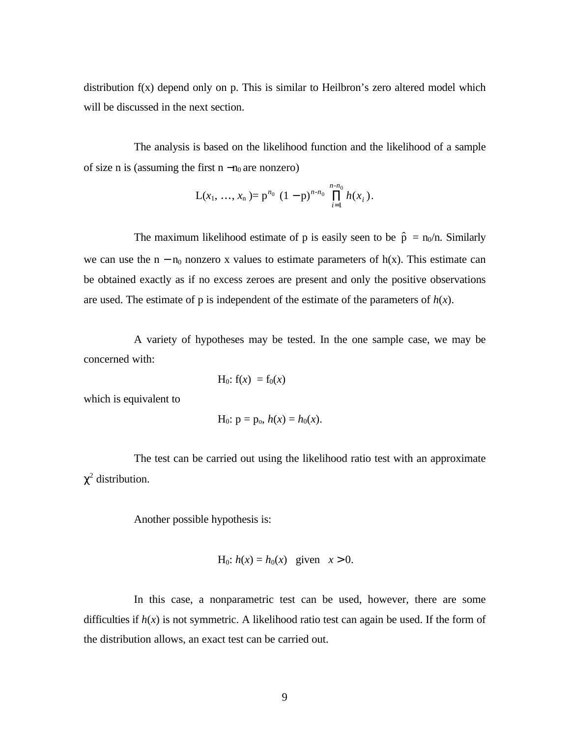distribution f(x) depend only on p. This is similar to Heilbron's zero altered model which will be discussed in the next section.

The analysis is based on the likelihood function and the likelihood of a sample of size n is (assuming the first n  $-n_0$  are nonzero)

$$
L(x_1, ..., x_n) = p^{n_0} (1-p)^{n \cdot n_0} \prod_{i=1}^{n \cdot n_0} h(x_i).
$$

The maximum likelihood estimate of p is easily seen to be  $\hat{p} = n_0/n$ . Similarly we can use the  $n - n_0$  nonzero x values to estimate parameters of  $h(x)$ . This estimate can be obtained exactly as if no excess zeroes are present and only the positive observations are used. The estimate of  $p$  is independent of the estimate of the parameters of  $h(x)$ .

A variety of hypotheses may be tested. In the one sample case, we may be concerned with:

$$
H_0: f(x) = f_0(x)
$$

which is equivalent to

H<sub>0</sub>: 
$$
p = p_0
$$
,  $h(x) = h_0(x)$ .

The test can be carried out using the likelihood ratio test with an approximate  $\chi^2$  distribution.

Another possible hypothesis is:

H<sub>0</sub>: 
$$
h(x) = h_0(x)
$$
 given  $x > 0$ .

In this case, a nonparametric test can be used, however, there are some difficulties if  $h(x)$  is not symmetric. A likelihood ratio test can again be used. If the form of the distribution allows, an exact test can be carried out.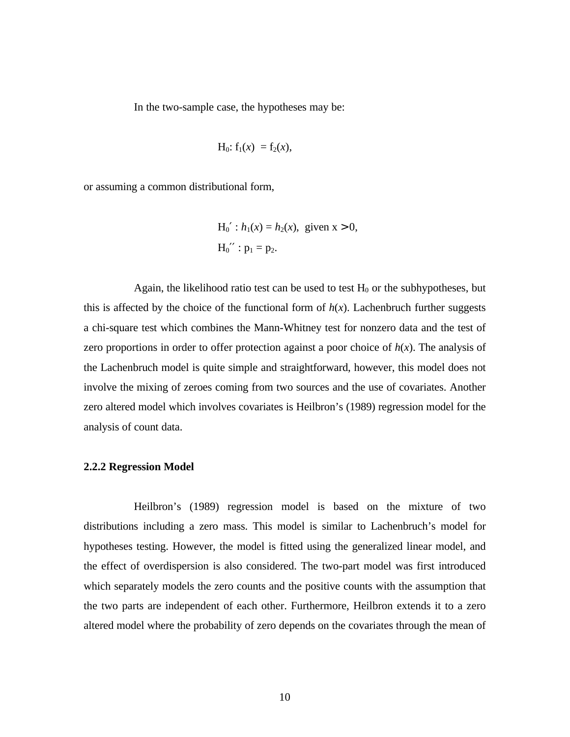In the two-sample case, the hypotheses may be:

$$
H_0
$$
:  $f_1(x) = f_2(x)$ ,

or assuming a common distributional form,

H<sub>0</sub>' : 
$$
h_1(x) = h_2(x)
$$
, given  $x > 0$ ,  
H<sub>0</sub>'' :  $p_1 = p_2$ .

Again, the likelihood ratio test can be used to test  $H_0$  or the subhypotheses, but this is affected by the choice of the functional form of  $h(x)$ . Lachenbruch further suggests a chi-square test which combines the Mann-Whitney test for nonzero data and the test of zero proportions in order to offer protection against a poor choice of  $h(x)$ . The analysis of the Lachenbruch model is quite simple and straightforward, however, this model does not involve the mixing of zeroes coming from two sources and the use of covariates. Another zero altered model which involves covariates is Heilbron's (1989) regression model for the analysis of count data.

#### **2.2.2 Regression Model**

Heilbron's (1989) regression model is based on the mixture of two distributions including a zero mass. This model is similar to Lachenbruch's model for hypotheses testing. However, the model is fitted using the generalized linear model, and the effect of overdispersion is also considered. The two-part model was first introduced which separately models the zero counts and the positive counts with the assumption that the two parts are independent of each other. Furthermore, Heilbron extends it to a zero altered model where the probability of zero depends on the covariates through the mean of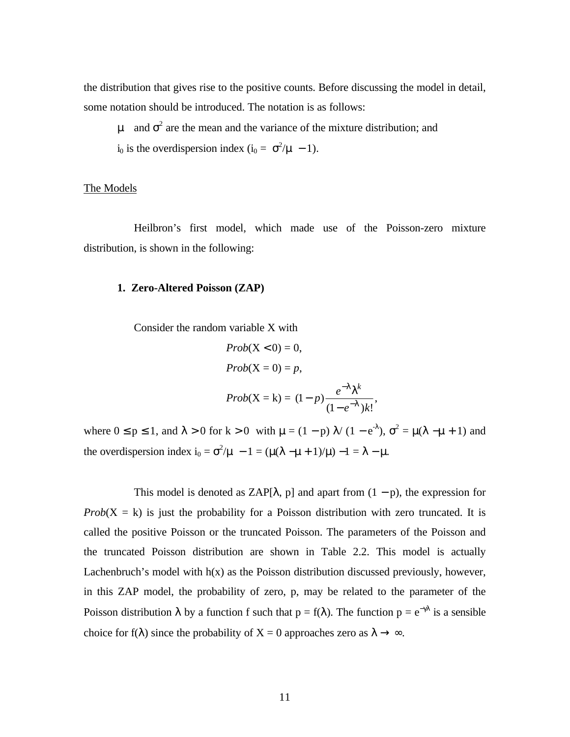the distribution that gives rise to the positive counts. Before discussing the model in detail, some notation should be introduced. The notation is as follows:

μ and  $\sigma^2$  are the mean and the variance of the mixture distribution; and i<sub>0</sub> is the overdispersion index (i<sub>0</sub> =  $\sigma^2/\mu$  - 1).

#### The Models

Heilbron's first model, which made use of the Poisson-zero mixture distribution, is shown in the following:

#### **1. Zero-Altered Poisson (ZAP)**

Consider the random variable X with

$$
Prob(X < 0) = 0,
$$
  
\n
$$
Prob(X = 0) = p,
$$
  
\n
$$
Prob(X = k) = (1 - p) \frac{e^{-1} + k}{(1 - e^{-1})k!},
$$

where  $0 \le p \le 1$ , and  $\lambda > 0$  for  $k > 0$  with  $\mu = (1 - p) \lambda / (1 - e^{-\lambda})$ ,  $\sigma^2 = \mu(\lambda - \mu + 1)$  and the overdispersion index  $i_0 = \sigma^2/\mu - 1 = (\mu(\lambda - \mu + 1)/\mu) - 1 = \lambda - \mu$ .

This model is denoted as ZAP[ $\lambda$ , p] and apart from  $(1 - p)$ , the expression for  $Prob(X = k)$  is just the probability for a Poisson distribution with zero truncated. It is called the positive Poisson or the truncated Poisson. The parameters of the Poisson and the truncated Poisson distribution are shown in Table 2.2. This model is actually Lachenbruch's model with h(x) as the Poisson distribution discussed previously, however, in this ZAP model, the probability of zero, p, may be related to the parameter of the Poisson distribution  $\lambda$  by a function f such that  $p = f(\lambda)$ . The function  $p = e^{-\gamma \lambda}$  is a sensible choice for f( $\lambda$ ) since the probability of X = 0 approaches zero as  $\lambda \rightarrow \infty$ .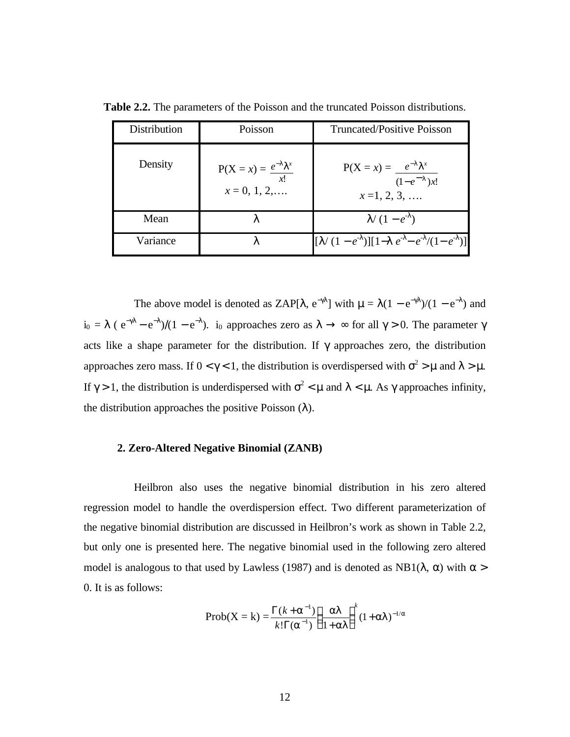| Distribution | Poisson                                                     | <b>Truncated/Positive Poisson</b>                          |
|--------------|-------------------------------------------------------------|------------------------------------------------------------|
| Density      | $P(X = x) = \frac{e^{-1} + x}{x!}$<br>$x = 0, 1, 2, \ldots$ | $P(X = x) = e^{-1}x$<br>$(1-e^{-1})x!$<br>$x=1, 2, 3, $    |
| Mean         |                                                             | $1/(1-e^{-1})$                                             |
| Variance     |                                                             | $[1/(1-e^{\perp})][1-1 e^{\perp}-e^{\perp}/(1-e^{\perp})]$ |

**Table 2.2.** The parameters of the Poisson and the truncated Poisson distributions.

The above model is denoted as ZAP[ $\lambda$ ,  $e^{-\gamma \lambda}$ ] with  $\mu = \lambda(1 - e^{-\gamma \lambda})/(1 - e^{-\lambda})$  and  $i_0 = \lambda$  (  $e^{-\gamma\lambda} - e^{-\lambda}$ )/(1 –  $e^{-\lambda}$ ). i<sub>0</sub> approaches zero as  $\lambda \to \infty$  for all  $\gamma > 0$ . The parameter  $\gamma$ acts like a shape parameter for the distribution. If  $\gamma$  approaches zero, the distribution approaches zero mass. If  $0 < \gamma < 1$ , the distribution is overdispersed with  $\sigma^2 > \mu$  and  $\lambda > \mu$ . If  $\gamma$  > 1, the distribution is underdispersed with  $\sigma^2 < \mu$  and  $\lambda < \mu$ . As  $\gamma$  approaches infinity, the distribution approaches the positive Poisson  $(\lambda)$ .

### **2. Zero-Altered Negative Binomial (ZANB)**

Heilbron also uses the negative binomial distribution in his zero altered regression model to handle the overdispersion effect. Two different parameterization of the negative binomial distribution are discussed in Heilbron's work as shown in Table 2.2, but only one is presented here. The negative binomial used in the following zero altered model is analogous to that used by Lawless (1987) and is denoted as  $NB1(\lambda, \alpha)$  with  $\alpha$  > 0. It is as follows:

Prob(X = k) = 
$$
\frac{\Gamma(k + a^{-1})}{k!\Gamma(a^{-1})}\left(\frac{al}{1+al}\right)^k(1+al)^{-1/a}
$$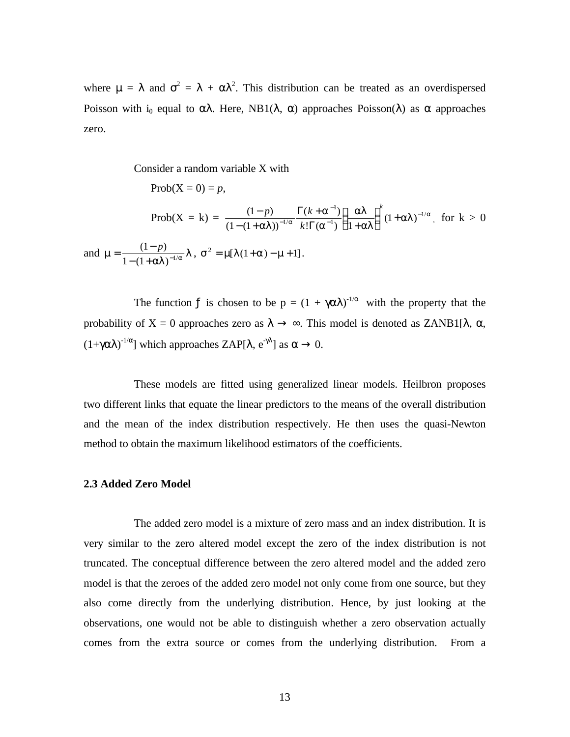where  $\mu = \lambda$  and  $\sigma^2 = \lambda + \alpha \lambda^2$ . This distribution can be treated as an overdispersed Poisson with i<sub>0</sub> equal to  $\alpha\lambda$ . Here, NB1( $\lambda$ ,  $\alpha$ ) approaches Poisson( $\lambda$ ) as  $\alpha$  approaches zero.

Consider a random variable X with  
\n
$$
Prob(X = 0) = p,
$$
\n
$$
Prob(X = k) = \frac{(1-p)}{(1-(1+a))^{-1/a}} \frac{\Gamma(k+a^{-1})}{k!\Gamma(a^{-1})} \left(\frac{al}{1+al}\right)^{k} (1+a)^{-1/a}, \text{ for } k > 0
$$
\nand 
$$
m = \frac{(1-p)}{1-(1+a)} \left(1+a\right)^{-1/a}, \text{ } s^2 = m[1(1+a)-m+1].
$$

The function f is chosen to be  $p = (1 + \gamma \alpha \lambda)^{-1/\alpha}$  with the property that the probability of X = 0 approaches zero as  $\lambda \to \infty$ . This model is denoted as ZANB1[ $\lambda$ ,  $\alpha$ ,  $(1+\gamma\alpha\lambda)^{-1/\alpha}$ ] which approaches ZAP[ $\lambda$ ,  $e^{-\gamma\lambda}$ ] as  $\alpha \to 0$ .

These models are fitted using generalized linear models. Heilbron proposes two different links that equate the linear predictors to the means of the overall distribution and the mean of the index distribution respectively. He then uses the quasi-Newton method to obtain the maximum likelihood estimators of the coefficients.

#### **2.3 Added Zero Model**

The added zero model is a mixture of zero mass and an index distribution. It is very similar to the zero altered model except the zero of the index distribution is not truncated. The conceptual difference between the zero altered model and the added zero model is that the zeroes of the added zero model not only come from one source, but they also come directly from the underlying distribution. Hence, by just looking at the observations, one would not be able to distinguish whether a zero observation actually comes from the extra source or comes from the underlying distribution. From a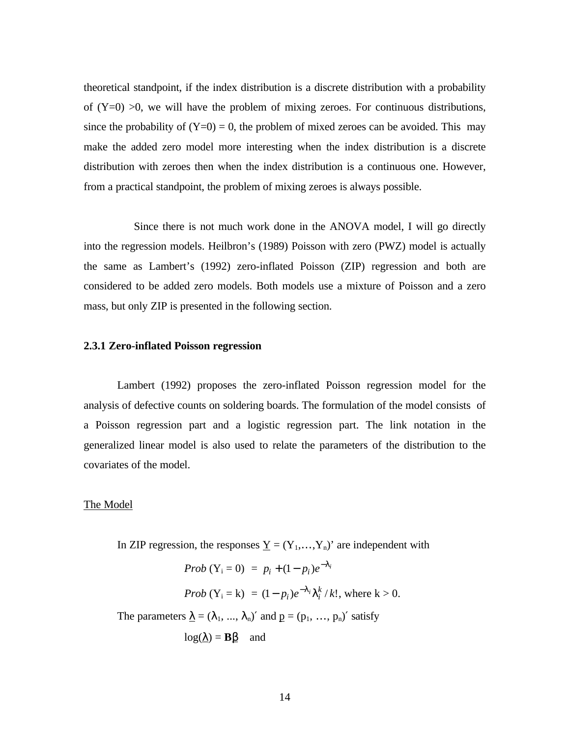theoretical standpoint, if the index distribution is a discrete distribution with a probability of  $(Y=0) > 0$ , we will have the problem of mixing zeroes. For continuous distributions, since the probability of  $(Y=0) = 0$ , the problem of mixed zeroes can be avoided. This may make the added zero model more interesting when the index distribution is a discrete distribution with zeroes then when the index distribution is a continuous one. However, from a practical standpoint, the problem of mixing zeroes is always possible.

Since there is not much work done in the ANOVA model, I will go directly into the regression models. Heilbron's (1989) Poisson with zero (PWZ) model is actually the same as Lambert's (1992) zero-inflated Poisson (ZIP) regression and both are considered to be added zero models. Both models use a mixture of Poisson and a zero mass, but only ZIP is presented in the following section.

## **2.3.1 Zero-inflated Poisson regression**

Lambert (1992) proposes the zero-inflated Poisson regression model for the analysis of defective counts on soldering boards. The formulation of the model consists of a Poisson regression part and a logistic regression part. The link notation in the generalized linear model is also used to relate the parameters of the distribution to the covariates of the model.

#### The Model

In ZIP regression, the responses  $\underline{Y} = (Y_1,...,Y_n)$  are independent with

$$
Prob (Y_i = 0) = p_i + (1 - p_i)e^{-1}i
$$
  
\n
$$
Prob (Y_i = k) = (1 - p_i)e^{-1}i\left(\frac{k}{i}/k!\right), \text{ where } k > 0.
$$
  
\nThe parameters  $\underline{\lambda} = (\lambda_1, ..., \lambda_n)'$  and  $\underline{p} = (p_1, ..., p_n)'$  satisfy  
\n
$$
log(\underline{\lambda}) = B\underline{\beta} \text{ and}
$$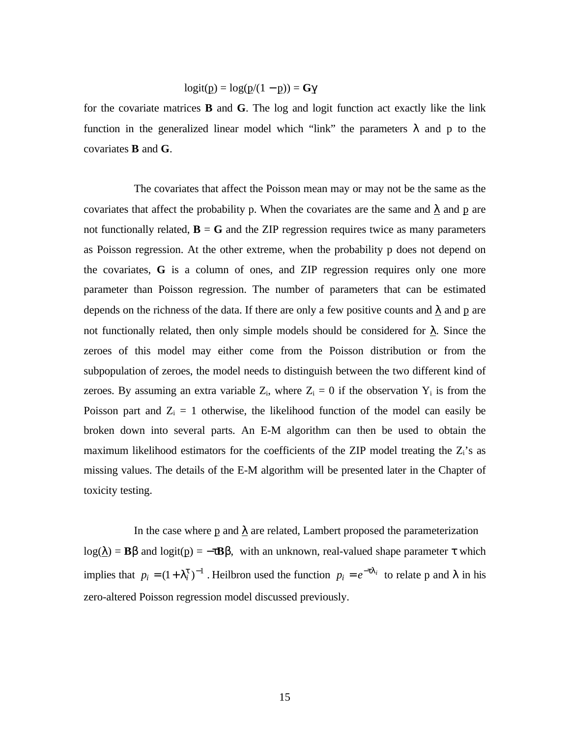$$
logit(p) = log(p/(1-p)) = G\gamma
$$

for the covariate matrices **B** and **G**. The log and logit function act exactly like the link function in the generalized linear model which "link" the parameters  $\lambda$  and p to the covariates **B** and **G**.

The covariates that affect the Poisson mean may or may not be the same as the covariates that affect the probability p. When the covariates are the same and  $\lambda$  and p are not functionally related,  $\mathbf{B} = \mathbf{G}$  and the ZIP regression requires twice as many parameters as Poisson regression. At the other extreme, when the probability p does not depend on the covariates, **G** is a column of ones, and ZIP regression requires only one more parameter than Poisson regression. The number of parameters that can be estimated depends on the richness of the data. If there are only a few positive counts and  $\lambda$  and p are not functionally related, then only simple models should be considered for  $\lambda$ . Since the zeroes of this model may either come from the Poisson distribution or from the subpopulation of zeroes, the model needs to distinguish between the two different kind of zeroes. By assuming an extra variable  $Z_i$ , where  $Z_i = 0$  if the observation  $Y_i$  is from the Poisson part and  $Z_i = 1$  otherwise, the likelihood function of the model can easily be broken down into several parts. An E-M algorithm can then be used to obtain the maximum likelihood estimators for the coefficients of the ZIP model treating the  $Z_i$ 's as missing values. The details of the E-M algorithm will be presented later in the Chapter of toxicity testing.

In the case where p and  $\lambda$  are related, Lambert proposed the parameterization log( $\lambda$ ) = **B**β and logit( $\mathbf{p}$ ) =  $-\tau$ **B**β, with an unknown, real-valued shape parameter  $\tau$  which implies that  $p_i = (1 + \vert \frac{t}{i})^{-1}$ . Heilbron used the function  $p_i = e^{-t\vert i}$  to relate p and  $\lambda$  in his zero-altered Poisson regression model discussed previously.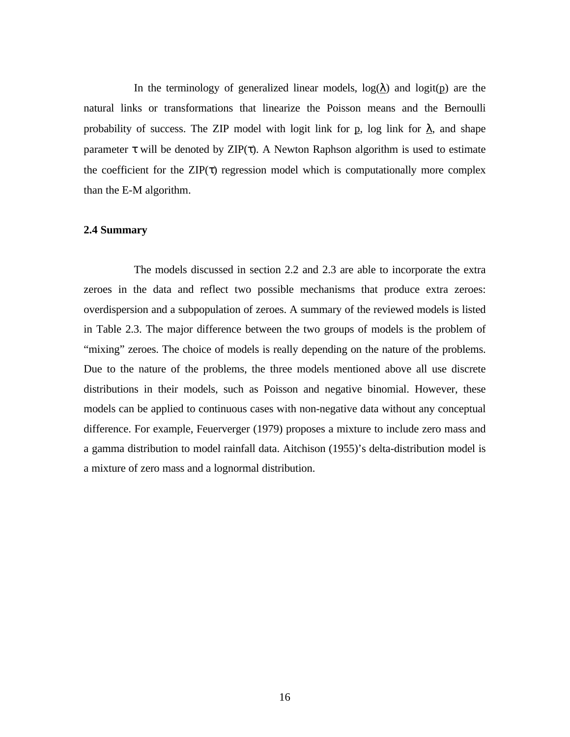In the terminology of generalized linear models,  $log(\lambda)$  and  $logit(p)$  are the natural links or transformations that linearize the Poisson means and the Bernoulli probability of success. The ZIP model with logit link for p, log link for  $\lambda$ , and shape parameter  $\tau$  will be denoted by ZIP( $\tau$ ). A Newton Raphson algorithm is used to estimate the coefficient for the  $\text{ZIP}(\tau)$  regression model which is computationally more complex than the E-M algorithm.

# **2.4 Summary**

The models discussed in section 2.2 and 2.3 are able to incorporate the extra zeroes in the data and reflect two possible mechanisms that produce extra zeroes: overdispersion and a subpopulation of zeroes. A summary of the reviewed models is listed in Table 2.3. The major difference between the two groups of models is the problem of "mixing" zeroes. The choice of models is really depending on the nature of the problems. Due to the nature of the problems, the three models mentioned above all use discrete distributions in their models, such as Poisson and negative binomial. However, these models can be applied to continuous cases with non-negative data without any conceptual difference. For example, Feuerverger (1979) proposes a mixture to include zero mass and a gamma distribution to model rainfall data. Aitchison (1955)'s delta-distribution model is a mixture of zero mass and a lognormal distribution.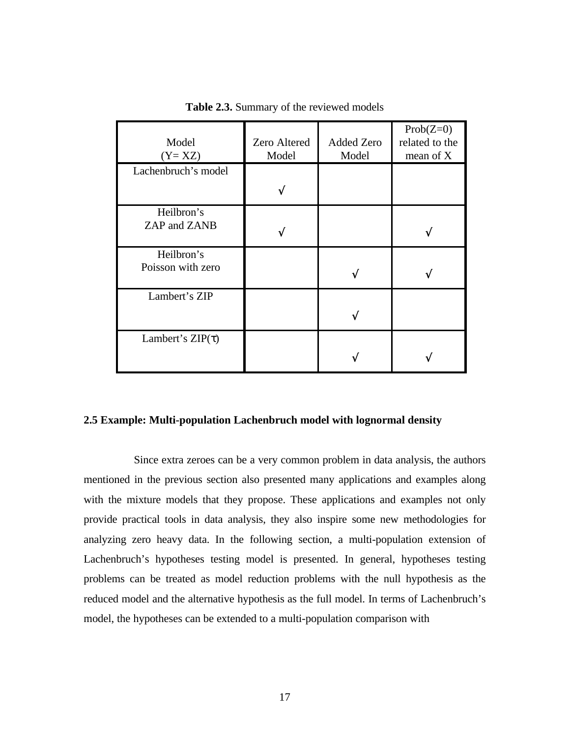| Model<br>$(Y = XZ)$        | Zero Altered<br>Model | <b>Added Zero</b><br>Model | $Prob(Z=0)$<br>related to the<br>mean of X |
|----------------------------|-----------------------|----------------------------|--------------------------------------------|
| Lachenbruch's model        |                       |                            |                                            |
|                            |                       |                            |                                            |
| Heilbron's<br>ZAP and ZANB |                       |                            |                                            |
| Heilbron's                 |                       |                            |                                            |
| Poisson with zero          |                       |                            |                                            |
| Lambert's ZIP              |                       |                            |                                            |
|                            |                       |                            |                                            |
| Lambert's $ZIP(\tau)$      |                       |                            |                                            |
|                            |                       |                            |                                            |

**Table 2.3.** Summary of the reviewed models

# **2.5 Example: Multi-population Lachenbruch model with lognormal density**

Since extra zeroes can be a very common problem in data analysis, the authors mentioned in the previous section also presented many applications and examples along with the mixture models that they propose. These applications and examples not only provide practical tools in data analysis, they also inspire some new methodologies for analyzing zero heavy data. In the following section, a multi-population extension of Lachenbruch's hypotheses testing model is presented. In general, hypotheses testing problems can be treated as model reduction problems with the null hypothesis as the reduced model and the alternative hypothesis as the full model. In terms of Lachenbruch's model, the hypotheses can be extended to a multi-population comparison with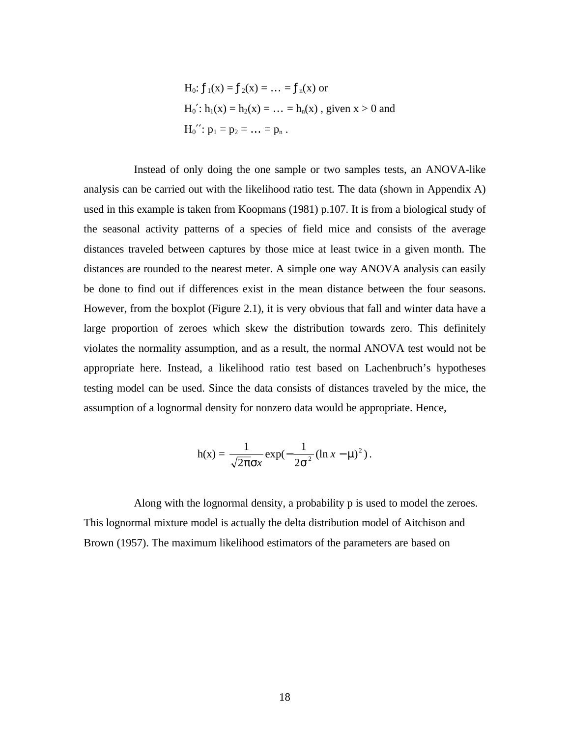H<sub>0</sub>: 
$$
f_1(x) = f_2(x) = ... = f_n(x)
$$
 or  
H<sub>0</sub>':  $h_1(x) = h_2(x) = ... = h_n(x)$ , given  $x > 0$  and  
H<sub>0</sub>'':  $p_1 = p_2 = ... = p_n$ .

Instead of only doing the one sample or two samples tests, an ANOVA-like analysis can be carried out with the likelihood ratio test. The data (shown in Appendix A) used in this example is taken from Koopmans (1981) p.107. It is from a biological study of the seasonal activity patterns of a species of field mice and consists of the average distances traveled between captures by those mice at least twice in a given month. The distances are rounded to the nearest meter. A simple one way ANOVA analysis can easily be done to find out if differences exist in the mean distance between the four seasons. However, from the boxplot (Figure 2.1), it is very obvious that fall and winter data have a large proportion of zeroes which skew the distribution towards zero. This definitely violates the normality assumption, and as a result, the normal ANOVA test would not be appropriate here. Instead, a likelihood ratio test based on Lachenbruch's hypotheses testing model can be used. Since the data consists of distances traveled by the mice, the assumption of a lognormal density for nonzero data would be appropriate. Hence,

$$
h(x) = \frac{1}{\sqrt{2\pi}\sigma x} \exp(-\frac{1}{2\sigma^2} (\ln x - \mu)^2).
$$

Along with the lognormal density, a probability p is used to model the zeroes. This lognormal mixture model is actually the delta distribution model of Aitchison and Brown (1957). The maximum likelihood estimators of the parameters are based on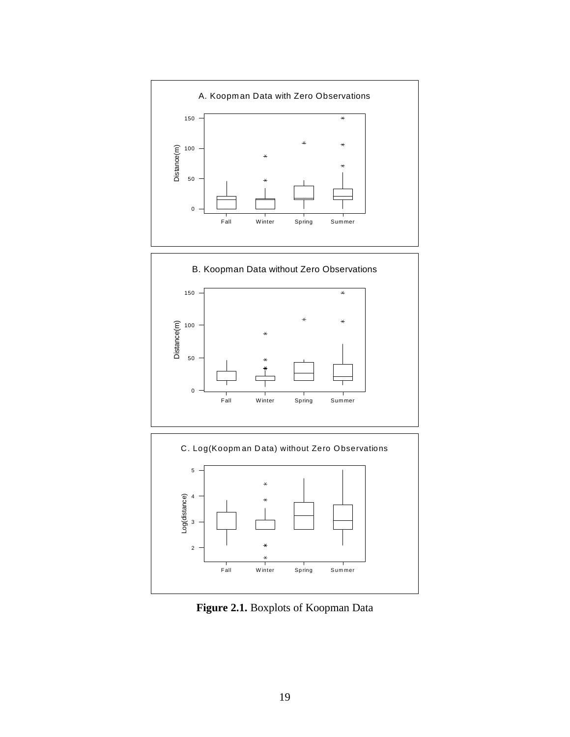





**Figure 2.1.** Boxplots of Koopman Data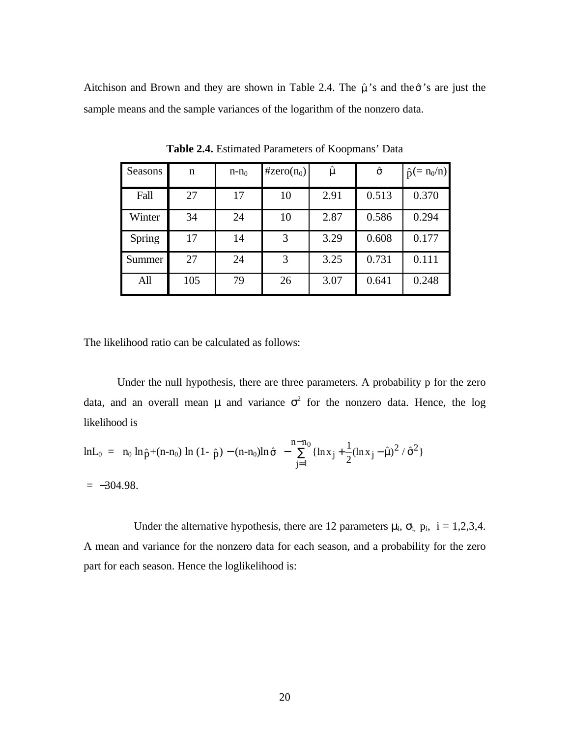Aitchison and Brown and they are shown in Table 2.4. The  $\hat{\mu}$ 's and the $\hat{\sigma}$ 's are just the sample means and the sample variances of the logarithm of the nonzero data.

| Seasons | n   | $n - n_0$ | #zero $(n_0)$ | $\hat{\mu}$ | $\hat{\sigma}$ | $\hat{p}$ (= n <sub>0</sub> /n) |
|---------|-----|-----------|---------------|-------------|----------------|---------------------------------|
| Fall    | 27  | 17        | 10            | 2.91        | 0.513          | 0.370                           |
| Winter  | 34  | 24        | 10            | 2.87        | 0.586          | 0.294                           |
| Spring  | 17  | 14        | 3             | 3.29        | 0.608          | 0.177                           |
| Summer  | 27  | 24        | 3             | 3.25        | 0.731          | 0.111                           |
| All     | 105 | 79        | 26            | 3.07        | 0.641          | 0.248                           |

**Table 2.4.** Estimated Parameters of Koopmans' Data

The likelihood ratio can be calculated as follows:

Under the null hypothesis, there are three parameters. A probability p for the zero data, and an overall mean  $\mu$  and variance  $\sigma^2$  for the nonzero data. Hence, the log likelihood is

$$
\ln L_0 = n_0 \ln \hat{p} + (n - n_0) \ln (1 - \hat{p}) - (n - n_0) \ln \hat{\sigma} - \sum_{j=1}^{n-n_0} \{ \ln x_j + \frac{1}{2} (\ln x_j - \hat{\mu})^2 / \hat{\sigma}^2 \}
$$

 $= -304.98$ .

Under the alternative hypothesis, there are 12 parameters  $\mu_i$ ,  $\sigma_i$ ,  $p_i$ ,  $i = 1,2,3,4$ . A mean and variance for the nonzero data for each season, and a probability for the zero part for each season. Hence the loglikelihood is: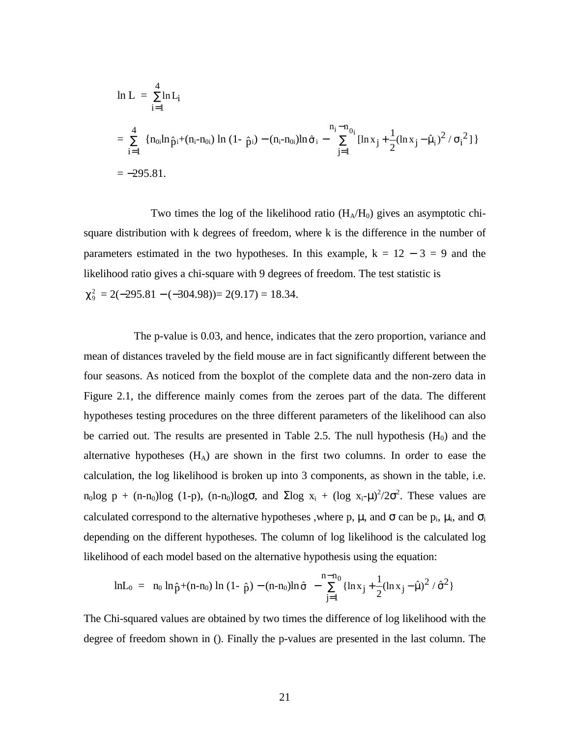$$
\begin{aligned} &\ln L = \sum_{i=1}^{4} \ln L_{i} \\ &= \sum_{i=1}^{4} \left\{ n_{0i} \ln \hat{p}_{i} + (n_{i} - n_{0i}) \ln (1 - \hat{p}_{i}) - (n_{i} - n_{0i}) \ln \hat{\sigma}_{i} - \sum_{j=1}^{n_{i} - n_{0i}} \left[ \ln x_{j} + \frac{1}{2} (\ln x_{j} - \hat{\mu}_{i})^{2} / \sigma_{i}^{2} \right] \right\} \\ &= -295.81. \end{aligned}
$$

Two times the log of the likelihood ratio  $(H_A/H_0)$  gives an asymptotic chisquare distribution with k degrees of freedom, where k is the difference in the number of parameters estimated in the two hypotheses. In this example,  $k = 12 - 3 = 9$  and the likelihood ratio gives a chi-square with 9 degrees of freedom. The test statistic is  $\chi^2$  = 2(-295.81 – (-304.98))= 2(9.17) = 18.34.

The p-value is 0.03, and hence, indicates that the zero proportion, variance and mean of distances traveled by the field mouse are in fact significantly different between the four seasons. As noticed from the boxplot of the complete data and the non-zero data in Figure 2.1, the difference mainly comes from the zeroes part of the data. The different hypotheses testing procedures on the three different parameters of the likelihood can also be carried out. The results are presented in Table 2.5. The null hypothesis  $(H_0)$  and the alternative hypotheses  $(H_A)$  are shown in the first two columns. In order to ease the calculation, the log likelihood is broken up into 3 components, as shown in the table, i.e.  $n_0$ log p + (n-n<sub>0</sub>)log (1-p), (n-n<sub>0</sub>)logσ, and Σlog x<sub>i</sub> + (log x<sub>i</sub>-μ)<sup>2</sup>/2σ<sup>2</sup>. These values are calculated correspond to the alternative hypotheses ,where p,  $\mu$ , and  $\sigma$  can be  $p_i$ ,  $\mu_i$ , and  $\sigma_i$ depending on the different hypotheses. The column of log likelihood is the calculated log likelihood of each model based on the alternative hypothesis using the equation:

$$
\text{ln} L_0 \hspace{2mm} = \hspace{2mm} n_0 \hspace{2mm} \text{ln} \hspace{2mm} \hat{p} + \hspace{2mm} (n\hspace{2mm} -\hspace{2mm} n_0) \hspace{2mm} \text{ln} \hspace{2mm} (1-\hspace{2mm} \hat{p}) - (n\hspace{2mm} -\hspace{2mm} n_0) \text{ln} \hspace{2mm} \hat{\sigma} \hspace{2mm} - \hspace{2mm} \sum_{j=1}^{n-n_0} \{ \text{ln} \hspace{2mm} x_j \hspace{2mm} + \hspace{2mm} \frac{1}{2} (\text{ln} \hspace{2mm} x_j \hspace{2mm} - \hspace{2mm} \hat{\mu})^2 \hspace{2mm}/ \hspace{2mm} \hat{\sigma}^2 \hspace{2mm} \}
$$

The Chi-squared values are obtained by two times the difference of log likelihood with the degree of freedom shown in (). Finally the p-values are presented in the last column. The